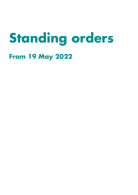# **Standing orders**

# **From 19 May 2022**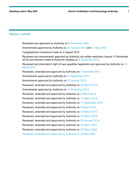#### Version control

Reviewed and approved by Authority on [9 December 2009.](http://www.hfea.gov.uk/5646.html)

Amendments approved by Authority on [20 January 2010](http://www.hfea.gov.uk/5721.html) and [12 May 2010.](http://www.hfea.gov.uk/5892.html)

Typographical corrections made on 4 August 2010

Reviewed and amendments approved by Authority via written resolution (issued 12 November 2010) and decision noted at Authority meeting on [8 December 2010.](http://www.hfea.gov.uk/6193.html)

Reviewed and amended in light of new equalities legislation and approved by Authority on [23](http://www.hfea.gov.uk/6391.html)  [March 2011.](http://www.hfea.gov.uk/6391.html)

Reviewed, amended and approved by Authority on 7 December 2011.

Amendments approved by Authority on 12 September 2012.

Amendments approved by Authority on 23 January 2013.

Reviewed, amended and approved by Authority on 20 March 2013.

Amendments approved by Authority on 13 November 2013.

Reviewed, amended and approved by Authority on 5 March 2014.

Reviewed, amended and approved by Authority on 11 March 2015.

Reviewed, amended and approved by Authority on 17 September 2015.

Reviewed, amended and approved by Authority on 9 March 2016.

Reviewed, amended and approved by Authority on 15 March 2017.

Reviewed, amended and approved by Authority on 14 March 2018.

Reviewed, amended and approved by Authority on 30 January 2019.

Reviewed, amended and approved by Authority on 24 March 2021.

Reviewed, amended and approved by Authority on 23 March 2022.

Reviewed, amended and approved by Authority on 18 May 2022.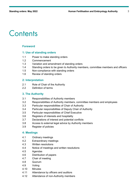# **Contents**

#### **Foreword**

#### **1: Use of standing orders**

- 1.1 Power to make standing orders
- 1.2 Commencement
- 1.3 Variation and amendment of standing orders
- 1.4 Standing orders to be given to Authority members, committee members and officers
- 1.5 Non-compliance with standing orders
- 1.6 Review of standing orders

#### **2: Interpretation**

- 2.1 Role of Chair of the Authority
- 2.2 Definition of terms

#### **3. The Authority**

- 3.1 Responsibilities of Authority members
- 3.2 Responsibilities of Authority members, committee members and employees
- 3.3 Particular responsibilities of Chair of Authority
- 3.4 Particular responsibilities of Deputy Chair of Authority
- 3.5 Particular responsibilities of Chief Executive
- 3.6 Registers of interests and hospitality
- 3.7 Declarations of interest and potential conflicts
- 3.8 Access to external legal advice by Authority members
- 3.9 Register of policies

#### **4: Meetings**

- 4.1 Ordinary meetings
- 4.2 Extraordinary meetings
- 4.3 Written resolutions
- 4.4 Notice of meetings and written resolutions
- 4.5 Agendas
- 4.6 Distribution of papers
- 4.7 Chair of meeting
- 4.8 Quorum
- 4.9 Voting
- 4.10 Minutes
- 4.11 Attendance by officers and auditors
- 4.12 Attendance of non-Authority members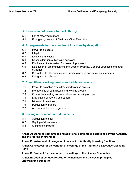#### **5: Reservation of powers to the Authority**

- 5.1 List of reserved matters
- 5.2 Emergency powers of Chair and Chief Executive

#### **6: Arrangements for the exercise of functions by delegation**

- 6.1 Power to delegate
- 6.2 Litigation
- 6.3 Licensing functions
- 6.4 Reconsideration of licensing decisions
- 6.5 Disclosure of information for research purposes
- 6.6 Delegation of amendments to the Code of Practice, General Directions and other guidance
- 6.7 Delegation to other committees, working groups and individual members
- 6.8 Delegation to officers

#### **7: Committees, working groups and advisory groups**

- 7.1 Power to establish committees and working groups
- 7.2 Membership of committees and working groups
- 7.3 Conduct of meetings of committees and working groups
- 7.4 Distribution of agenda and papers
- 7.5 Minutes of meetings
- 7.6 Publication of papers
- 7.7 Advisers and advisory groups

#### **8: Sealing and execution of documents**

- 8.1 Application of seal
- 8.2 Signing of documents
- 8.3 Signing of contracts

#### **Annex A: Standing committees and additional committees established by the Authority and their terms of reference**

**Annex B: Instrument of delegation in respect of Authority licensing functions**

**Annex C: Protocol for the conduct of meetings of the Authority's Executive Licensing Panel**

**Annex D: Protocol for the conduct of meetings of the Licence Committee** 

**Annex E: Code of conduct for Authority members and the seven principles underpinning public life**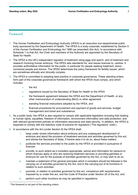#### Foreword[1](#page-4-0)

- 1. The Human Fertilisation and Embryology Authority (HFEA) is an executive non-departmental public body sponsored by the Department of Health. The HFEA is a body corporate, established by Section 5 of the Human Fertilisation and Embryology Act 1990 (as amended) (the Act). In accordance with Schedule 1 to that Act, the Chair and members of the Authority are appointed by the Secretary of State for Health.
- 2. The HFEA is the UK's independent regulator of treatment using eggs and sperm, and of treatment and research involving human embryos. The HFEA sets standards for, and issues licences to, centres. It provides authoritative information for the public, in particular for people seeking treatment, donorconceived people and donors. The HFEA determines the policy framework for fertility issues, which are sometimes ethically and clinically complex.
- 3. The HFEA is committed to adopting best practice in corporate governance. These standing orders form part of the corporate governance framework with which the HFEA must comply, and which includes:
	- the Act
	- regulations issued by the Secretary of State for Health or the HFEA
	- the framework agreement between the HFEA and the Department of Health, or any other memorandum of understanding (MoU) or other agreement
	- standing financial instructions adopted by the HFEA, and
	- financial procedures for procurement and payment of goods and services, budget management and travel and subsistence.
- 4. As a public body, the HFEA is also required to comply with applicable legislation including that relating to human rights, equalities, freedom of information, environment information and data protection; and with relevant government policies on information assurance and data security. In addition, the HFEA is expected to comply with the statutory code of practice for regulators ('The regulators' code').
- 5. In accordance with the Act (under Section 8) the HFEA shall:
	- i. keep under review information about embryos and any subsequent development of embryos and about the provision of treatment services and activities governed by this act, and advise the Secretary of State, if he/she asks it to do so, about these matters
	- ii. publicise the services provided to the public by the HFEA or provided in pursuance of **licences**
	- iii. provide, to such extent as it considers appropriate, advice and information for persons to whom licences apply or who are receiving treatment services or providing gametes or embryos for use for the purpose of activities governed by the Act, or may wish to do so
	- iv. maintain a statement of the general principles which it considers should be followed in the carrying–on of activities governed by the Act, and in the carrying-out of its functions in relation to such activities
	- v. promote, in relation to activities governed by this act, compliance with requirements imposed by or under this act, and the Code of Practice under Section 25 of the Act, and
	- vi. perform such other functions as may be specified in regulations.

<span id="page-4-0"></span><sup>&</sup>lt;sup>1</sup> This foreword is not part of the standing orders.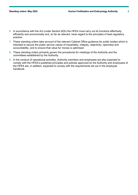- 6. In accordance with the Act (under Section 8ZA) the HFEA must carry out its functions effectively, efficiently and economically and, so far as relevant, have regard to the principles of best regulatory practice.
- 7. These standing orders take account of the relevant Cabinet Office guidance for public bodies which is intended to secure the public service values of impartiality, integrity, objectivity, openness and accountability, and to ensure that value for money is optimised.
- 8. These standing orders primarily govern the procedures for meetings of the Authority and the committees established by the Authority.
- 9. In the conduct of operational activities, Authority members and employees are also expected to comply with the HFEA's published principles and policies approved by the Authority and employees of the HFEA are, in addition, expected to comply with the requirements set out in the employee handbook.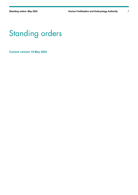# Standing orders

**Current version 19 May 2022**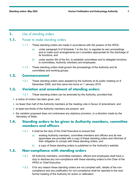#### **1.** Use of standing orders

# **1.1.** Power to make standing orders

- 1.1.1. These standing orders are made in accordance with the powers of the HFEA:
	- a) under paragraph 9 of Schedule 1 to the Act, to regulate its own proceedings and to make such arrangements as it considers appropriate for the discharge of its functions, and
	- b) under section 9A of the Act, to establish committees and to delegate functions to committees, Authority members and employees.
- 1.1.2. These standing orders shall govern the proceedings of the Authority and its committees and working groups.

#### **1.2. Commencement**

1.2.1. These standing orders were adopted by the Authority at its public meeting on 9 December 2009, and first came into force on 1 January 2010.

# **1.3. Variation and amendment of standing orders**

- 1.3.1. These standing orders can be amended by the Authority, provided that:
- a notice of motion has been given, and
- no fewer than half of the Authority members at the meeting vote in favour of amendment, and
- at least two-thirds of the Authority members are present, and
- the variation proposed does not contravene any statutory provision, or a direction made by the Secretary of State.

# **1.4. Standing orders to be given to Authority members, committee members and officers**

- 1.4.1. It shall be the duty of the Chief Executive to ensure that:
	- a) existing Authority members, committee members and officers and all new appointees are provided with a copy of these standing orders and informed of their obligation to comply with these standing orders; and
	- b) a copy of these standing orders is published on the Authority's website.

#### **1.5. Non-compliance with standing orders**

- 1.5.1. All Authority members, committee members, officers and employees shall have a duty to disclose any non-compliance with these standing orders to the Chair of the HFEA or Chief Executive.
- 1.5.2. If for any reason these standing orders are not complied with, details of the noncompliance and any justification for non-compliance shall be reported to the next formal meeting of the Authority for action or ratification.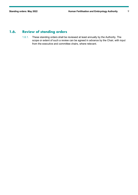# **1.6. Review of standing orders**

1.6.1. These standing orders shall be reviewed at least annually by the Authority. The scope or extent of such a review can be agreed in advance by the Chair, with input from the executive and committee chairs, where relevant.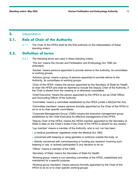#### **2.** Interpretation

#### **2.1. Role of Chair of the Authority**

2.1.1. The Chair of the HFEA shall be the final authority on the interpretation of these standing orders.

#### **2.2. Definition of terms**

2.2.1. The following terms are used in these standing orders:

'The Act' means the Human and Fertilisation and Embryology Act 1990 (as amended).

'Adviser' means persons appointed to provide advice to the Authority, its committees or working groups.

'Advisory group' means a group of persons appointed to provide advice to the Authority, its committees or working groups.

'Chair of the HFEA' means the person appointed by the Secretary of State for Health to chair the HFEA and shall be deemed to include the Deputy Chair of the Authority, if the Chair is absent from the meeting or is otherwise unavailable.

'Chief Executive' means the person appointed by the HFEA to act as Chief Officer and Accounting Officer of the Authority.

'Committee' means a committee established by the HFEA (under s.9A(2)of the Act).

'Committee members' means persons formally appointed by the Chair of the HFEA to sit on or to chair specific committees.

'Corporate Management Group' (CMG) means the executive management group established by the Chief Executive for effective management of the HFEA.

'Deputy Chair of the HFEA' means the HFEA member appointed by the Secretary of State to take on the Chair's duties if the Chair of the HFEA is absent for any reason.

'Lay member' means a member of the Authority, who is not, nor has been:

• a medical practitioner registered under the Medical Act 1983,

• concerned with keeping or using gametes or embryos outside the body, or

• directly concerned with commissioning or funding any research involving such keeping or use, or actively participated in any decision to do so.

'Officer' means a member of the CMG.

'Secretary of State' means the Secretary of State for Health.

'Working group' means a non-standing committee of the HFEA, established and maintained for a specific purpose.

'Working group members' means persons formally appointed by the Chair of the HFEA to sit on or to chair specific working groups.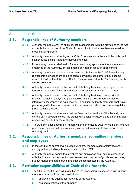#### **3.** The Authority

# **3.1. Responsibilities of Authority members**

- 3.1.1. Authority members shall, at all times, act in accordance with the provisions of the Act and with the provisions of the Code of conduct for Authority members annexed to these standing orders.
- 3.1.2. Authority members shall not give the Chief Executive instructions which conflict with his/her duties as the Authority's accounting officer.
- 3.1.3. No Authority member shall solicit for any person any appointment as a member or employee of the Authority, or recommend any person for such appointment.
- 3.1.4. Authority members shall, as soon as possible, disclose to the Chief Executive any relationship between them and a candidate of whose candidature they become aware. It shall be the duty of the Chief Executive to report to the Authority any such disclosure made.
- 3.1.5. Authority members shall, in the conduct of Authority business, have regard to the functions and duties of the Authority set out in sections 8 and 8ZA of the Act.
- 3.1.6. Authority members shall, in the conduct of Authority business, comply with all relevant legislation applying to public bodies and with government policies on information assurance and data security. In addition, Authority members shall have proper regard to the principles set out in the statutory code of practice for regulators ('The regulators' code').
- 3.1.7. Authority members shall ensure that the financial transactions of the Authority are carried out in accordance with the standing financial instructions and other financial procedures adopted by the Authority.
- 3.1.8. The Authority shall appoint an Authority member to act as equality champion, who will promote compliance with equalities legislation and from time-to-time report to the Authority on it.

# **3.2. Responsibilities of Authority members, committee members and employees**

- 3.2.1. In the conduct of operational activities, Authority members and employees shall comply with applicable policies approved by the HFEA.
- 3.2.2. Authority members, committee members and employees shall ensure compliance with the financial procedures for procurement and payment of goods and services, budget management and travel and subsistence adopted by the Authority.

# **3.3. Particular responsibilities of Chair of the Authority**

- 3.3.1. The Chair of the HFEA shall in addition to the responsibilities shared by all Authority members have particular responsibility for:
	- a) approving the agenda for meetings of the Authority
	- b) chairing meetings of the Authority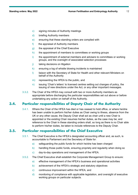- c) signing minutes of Authority meetings
- d) briefing Authority members
- e) ensuring that these standing orders are complied with
- f) the appraisal of Authority members
- g) the appraisal of the Chief Executive
- h) the appointment of members to committees or working groups
- i) the appointment of external members and advisers to committees or working groups, and the oversight of associated selection processes
- j) taking decisions on litigation
- k) ensuring a log of whistle blowing incidents is maintained
- l) liaison with the Secretary of State for Health and other relevant Ministers on behalf of the Authority
- m) representing the HFEA to the public, and
- n) issuing 'Chair's letters' to licensed centres setting out changes of policy, the issuing of new directions under the Act, or any other important messages.
- 3.3.2. The Chair of the HFEA may consult with two or more Authority members as appropriate before discharging the particular responsibilities set out above or before undertaking any action on behalf of the Authority.

# **3.4. Particular responsibilities of Deputy Chair of the Authority**

3.4.1. Where the Chair of the HFEA has died or has ceased to hold office, or where he/she has been unable to perform his/her duties as Chair owing to illness, absence from the UK or any other cause, the Deputy Chair shall act as chair until a new Chair is appointed or the existing Chair resumes his/her duties, as the case may be; and reference to the Chair in these standing orders shall, so long as there is no Chair able to perform his/her duties, be taken to include references to the Deputy Chair.

# **3.5. Particular responsibilities of the Chief Executive**

- 3.5.1. The Chief Executive is the HFEA's designated accounting officer and, as such, is accountable to Parliament and the Secretary of State for:
	- a) safeguarding the public funds for which he/she has been charged
	- b) handling those public funds, ensuring propriety and regularity when doing so
	- c) day-to-day operations and management of the HFEA.
- 3.5.2. The Chief Executive shall establish the Corporate Management Group to ensure:
	- a) effective management of the HFEA's business and operational activities
	- b) achievement of the HFEA's strategic and statutory objectives
	- c) continuous improvement within the HFEA, and
	- d) monitoring of compliance with applicable legislation, and oversight of executive working groups on particular subjects.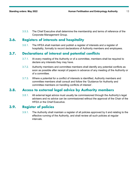3.5.3. The Chief Executive shall determine the membership and terms of reference of the Corporate Management Group.

# **3.6. Registers of interests and hospitality**

3.6.1. The HFEA shall maintain and publish a register of interests and a register of hospitality, formally to record declarations of Authority members and employees.

#### **3.7. Declarations of interest and potential conflicts**

- 3.7.1. At every meeting of the Authority or of a committee, members shall be required to declare any interests they may have.
- 3.7.2. Authority members and committee members shall identify any potential conflicts as soon as possible after receipt of papers in advance of any meeting of the Authority or of a committee.
- 3.7.3. Where a potential for a conflict of interests is identified, Authority members and committee members shall consult and follow the 'Guidance for Authority and committee members on handling conflicts of interest'.

#### **3.8. Access to external legal advice by Authority members**

3.8.1. All external legal advice must usually be commissioned through the Authority's legal advisers and no advice can be commissioned without the approval of the Chair of the HFEA or the Chief Executive.

# **3.9. Register of policies**

3.9.1. The Authority shall maintain a register of all policies approved by it and relating to the effective running of the Authority, and shall review all such policies at regular intervals.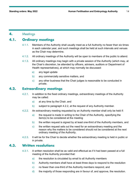#### **4.** Meetings

# **4.1. Ordinary meetings**

- 4.1.1. Members of the Authority shall usually meet as a full Authority no fewer than six times in each calendar year, and such meetings shall be held at such intervals and venues as the Chair may determine.
- 4.1.2. All ordinary meetings of the Authority will be open to members of the public to attend.
- 4.1.3. All ordinary meetings may begin with a private session of the Authority (which may, at the Chair's discretion, be attended by officers, advisers, auditors or Department of Health representatives), at which may normally be discussed:
	- a) any legal update
	- b) any commercially sensitive matters, and
	- c) any other business that the Chair judges is reasonable to be conducted in private.

#### **4.2. Extraordinary meetings**

- 4.2.1. In addition to the fixed ordinary meetings, extraordinary meetings of the Authority may be called:
	- a) at any time by the Chair, and
	- b) subject to paragraph 4.2.2, at the request of any Authority member.
- 4.2.2. An extraordinary meeting requested by an Authority member shall only be held if:
	- a) the request is made in writing to the Chair of the Authority, specifying the item(s) to be considered at the meeting
	- b) the written request is signed by at least one-third of the Authority members, and
	- c) the written request sets out the need for an extraordinary meeting and the reason why the matters to be considered should not be considered at the next ordinary meeting of the Authority.
- 4.2.3. It will be for the Chair to decide whether the extraordinary meeting is held in public or in private.

#### **4.3. Written resolutions**

- 4.3.1. A written resolution shall be as valid and effectual as if it had been passed at a full meeting of the Authority provided that:
	- a) the resolution is circulated by email to all Authority members
	- b) Authority members shall have at least three days to respond to the resolution
	- c) no fewer than one-third of the Authority members respond, and
	- d) the majority of those responding are in favour of, and approve, the resolution.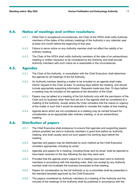# **4.4. Notice of meetings and written resolutions**

- 4.4.1. Other than in exceptional circumstances, the Chair of the HFEA shall notify Authority members of the dates of the ordinary meetings of the Authority in any calendar year at least one month before the beginning of that year.
- 4.4.2. Failure to serve notice on any Authority member shall not affect the validity of an ordinary meeting.
- 4.4.3. The Chair of the HFEA shall notify Authority members of the date of an extraordinary meeting or written resolution to be considered by the Authority and shall provide Authority members with such notice as is reasonable in the circumstances.

# **4.5. Agendas**

- 4.5.1. The Chair of the Authority, in consultation with the Chief Executive, shall determine the agenda for all meetings of the full Authority.
- 4.5.2. An Authority member desiring a matter to be included on an agenda shall make his/her request to the Chair at least 10 working days before the meeting, and should include appropriate supporting information. Requests made less than 10 days before a meeting may be included on the agenda at the discretion of the Chair.
- 4.5.3. Papers may be tabled at a meeting of the full Authority only with the permission of the Chair and no business other than that set out in the agenda shall be considered at a meeting of the Authority, except where the Chair considers that the nature or urgency of the matter is such that it would be desirable to consider the matter at that meeting.
- 4.5.4. Agenda items which are not considered at a meeting may be carried forward for consideration at an appropriate later ordinary meeting, or at an extraordinary meeting.

# **4.6. Distribution of papers**

- 4.6.1. The Chief Executive shall endeavour to ensure that agendas and supporting papers (where possible) are sent to Authority members in good time before an Authority meeting, and shall usually send out such papers five working days before the meeting.
- 4.6.2. Agendas and papers may be distributed by such method as the Chief Executive considers appropriate, including by email.
- 4.6.3. Agendas and papers for a meeting, including those sent by email, shall be deemed to have been received on the day following the day they were sent.
- 4.6.4. Provided that the agenda and/or papers for a meeting have been sent to Authority members in accordance with this standing order, their non-receipt by any Authority member shall not invalidate the business transacted at that meeting.
- 4.6.5. Papers for consideration by the full Authority or by a committee shall be presented in the standard template approved by the Chief Executive.
- 4.6.6. The papers considered by Authority members at a meeting of the Authority and the minutes of the meetings of the Authority shall be published in accordance with the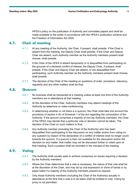HFEA's policy on the publication of Authority and committee papers and shall be made available to the public in accordance with the HFEA's publication scheme and the Freedom of Information Act 2000.

# **4.7. Chair of meeting**

- 4.7.1. At any meeting of the Authority, the Chair, if present, shall preside. If the Chair is absent from the meeting, the Deputy Chair shall preside. If the Chair and Deputy Chair are absent, such Authority member as the Authority members present shall choose, shall preside.
- 4.7.2. If the Chair of the HFEA is absent temporarily or is disqualified from participating on the grounds of a declared conflict of interest, the Deputy Chair, if present, shall preside. If the Chair and Deputy Chair are absent, or are disqualified from participating, such Authority member as the Authority members present shall choose, shall preside.
- 4.7.3. The decision of the Chair of the meeting on questions of order, procedure, relevancy, regularity and any other matters shall be final.

#### **4.8. Quorum**

- 4.8.1. No business shall be transacted at a meeting unless at least one third of the Authority members are in attendance at that meeting.
- 4.8.2. At the discretion of the Chair, Authority members may attend meetings of the Authority by telephone or video-conferencing.
- 4.8.3. In determining whether or not there is a quorum, the Chair shall take into account the provisions of section 4 (4) of Schedule 1 of the Act regarding the composition of the Authority. If the quorum comprises a majority of non-lay Authority members, the Chair of the HFEA may decide that a particular vote or decision cannot be taken. The decision of the Chair on such matters is final.
- 4.8.4. Any Authority member (including the Chair of the Authority) who has been disqualified from participating in the discussion on any matter and/or from voting on any question by reason of the declaration of a conflict of interest shall no longer count towards the quorum. If a quorum is then not available for the discussion and/or the decision on any matter, that matter may not be discussed further or voted upon at that meeting. Such a position shall be recorded in the minutes of the meeting.

#### **4.9. Voting**

- 4.9.1. The Authority shall usually seek to achieve consensus on issues requiring a decision by the Authority members.
- 4.9.2. Where the Chair determines that a vote is necessary, the nature of that vote shall be at the discretion of the Chair, and may be by oral expression or show of hands or by paper ballot if a majority of the Authority members present so request.
- 4.9.3. Only those Authority members (including the Chair of the Authority) actually in attendance at the time that a vote is to be taken shall be entitled to vote. Voting by proxy is not permitted.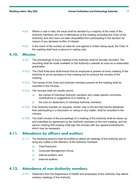- 4.9.4. Where a vote is held, the issue shall be decided by a majority of the votes of the Authority members who are in attendance at the meeting (including the Chair of the Authority) and who have not been disqualified from participating in the decision by reason of any declared conflict of interest.
- 4.9.5. In the event of the number of votes for and against a motion being equal, the Chair of the meeting shall have a second or casting vote.

#### **4.10. Minutes**

- 4.10.1. The proceedings of every meeting of the Authority shall be formally recorded. The recording shall be made available on the Authority's website as soon as is reasonably practicable.
- 4.10.2. The Chief Executive shall ensure that an employee is present at every meeting of the Authority to act as secretary to that meeting and to produce the minutes of the meeting.
- 4.10.3. The names of the Chair and Authority members present at the meeting shall be recorded in the minutes.
- 4.10.4. The minutes shall not usually record:
	- a) the names of individual Authority members who made specific comments, contributions or suggestions at a meeting, or
	- b) the vote (or abstention) of individual Authority members.
- 4.10.5. If an Authority member so requests, his/her vote or the fact that he/she abstained from participating in a discussion or voting on any matter, shall be recorded in the minutes.
- 4.10.6. The draft minutes of the proceedings of a meeting of the Authority shall be drawn up and submitted for agreement by the Authority members at the next meeting, and the person chairing that meeting shall sign the minutes with any agreed amendments which may be necessary.

# **4.11. Attendance by officers and auditors**

- 4.11.1. The following persons shall be entitled to attend all meetings of the Authority and to bring any matter to the attention of the Authority members:
	- a) Chief Executive
	- b) Corporate Management Group
	- c) internal auditors, and
	- d) external auditors.

# **4.12. Attendance of non-Authority members**

4.12.1. Observers from the Department of Health and employees of the Authority may attend ordinary meetings of the Authority.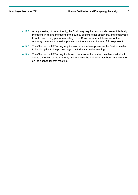- 4.12.2. At any meeting of the Authority, the Chair may require persons who are not Authority members (including members of the public, officers, other observers, and employees) to withdraw for any part of a meeting, if the Chair considers it desirable for the Authority members to meet in private or in the absence of some of those present.
- 4.12.3. The Chair of the HFEA may require any person whose presence the Chair considers to be disruptive to the proceedings to withdraw from the meeting.
- 4.12.4. The Chair of the HFEA may invite such persons as he or she considers desirable to attend a meeting of the Authority and to advise the Authority members on any matter on the agenda for that meeting.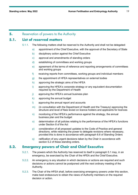#### **5.** Reservation of powers to the Authority

# **5.1. List of reserved matters**

- 5.1.1. The following matters shall be reserved to the Authority and shall not be delegated:
	- a) appointment of the Chief Executive, with the approval of the Secretary of State
	- b) disciplinary action against the Chief Executive
	- c) approval and amendments of standing orders
	- d) establishing of committees and working groups
	- e) agreement of the terms of reference and reporting arrangements of committees and working groups
	- f) receiving reports from committees, working groups and individual members
	- g) the appointment of HFEA representatives on external bodies
	- h) approving the strategic aims of the HFEA
	- i) approving the HFEA's corporate strategy or any equivalent documentation required by the Department of Health
	- j) approving the HFEA's annual business plan
	- k) approving the annual budget
	- l) approving the annual report and accounts
	- m) (in consultation with the Department of Health and the Treasury) approving the structure and level of fees levied on licence holders and applicants for licences
	- n) monitoring of the HFEA's performance against the strategy, the annual business plan and the budget
	- o) determination of all policies relating to the performance of the HFEA's functions under Section 8 of the Act
	- p) consideration of all proposed updates to the Code of Practice and general directions, while retaining the power to delegate revisions where necessary, provided this is done in accordance with paragraph 6.6 of Standing Orders
	- $q$ ) ratification of any urgent decisions taken by the Chair in accordance with section [5.2](#page-18-0) of these standing orders.

#### <span id="page-18-0"></span>**5.2. Emergency powers of Chair and Chief Executive**

- 5.2.1. The powers which the Authority has reserved to itself in paragraph 5.1 may, in an emergency, be exercised by the Chair of the HFEA and the Chief Executive.
- 5.2.2. An emergency is any situation in which decisions or actions are required and such decisions or actions cannot be postponed until the next ordinary meeting of the Authority.
- 5.2.3. The Chair of the HFEA shall, before exercising emergency powers under this section, make best endeavours to obtain the views of Authority members on the required decision or action.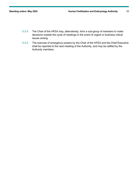- 5.2.4. The Chair of the HFEA may, alternatively, form a sub-group of members to make decisions outside the cycle of meetings in the event of urgent or business critical issues arising.
- 5.2.5. The exercise of emergency powers by the Chair of the HFEA and the Chief Executive shall be reported to the next meeting of the Authority, and may be ratified by the Authority members.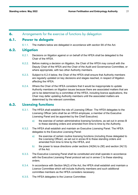### **6.** Arrangements for the exercise of functions by delegation

#### **6.1. Power to delegate**

6.1.1. The matters below are delegated in accordance with section 9A of the Act.

#### **6.2. Litigation**

- 6.2.1. Decisions on litigation against or on behalf of the HFEA shall be delegated to the Chair of the HFEA.
- 6.2.2. Before making a decision on litigation, the Chair of the HFEA may consult with the Deputy Chair of the HFEA and the Chair of the Audit and Governance Committee, or where appropriate, with two other Authority members.
- 6.2.3. Subject to [6.2.4](#page-20-0) below, the Chair of the HFEA shall ensure that Authority members are regularly updated on key decisions and stages reached, in respect of litigation affecting the HFEA.
- <span id="page-20-0"></span>6.2.4. Where the Chair of the HFEA considers that it would be inappropriate to update Authority members on litigation issues because there are associated matters that are yet to be determined by a committee of the HFEA, including licence applications, the Chair may defer updating Authority members until the associated matters are determined by the relevant committee.

# **6.3. Licensing functions**

- 6.3.1. The HFEA shall establish the role of Licensing Officer. The HFEA delegates to the Licensing Officer (who shall be an HFEA employee, a member of the Executive Licensing Panel and be appointed by the Chief Executive):
	- a) the exercise of certain administrative licensing functions, as set out in annex B to these standing orders and amended from time to time by the Authority.
- 6.3.2. The HFEA shall establish and maintain an Executive Licensing Panel. The HFEA delegates to the Executive Licensing Panel:
	- a) the exercise of certain routine licensing functions (including those delegated to the Licensing Officer), as set out in annex B to these standing orders and amended from time to time by the HFEA, and
	- b) the power to issue directions under sections  $24(5A)$  to (5E) and section  $24(13)$ of the Act.
- 6.3.3. The Executive Licensing Panel shall be constituted and shall operate in accordance with the Executive Licensing Panel protocol set out in annex C to these standing orders.
- 6.3.4. In accordance with Section 9A(2) of the Act, the HFEA shall establish and maintain a Licence Committee which will include Authority members and such additional committee members as the HFEA considers necessary.
- 6.3.5. The HFEA delegates to the Licence Committee: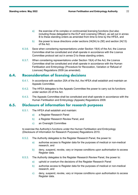- a) the exercise of its complex or controversial licensing functions (but also including those delegated to the ELP and Licensing Officer), as set out in annex B to these standing orders as amended from time to time by the HFEA, and
- b) the power to issue directions under sections  $24(5A)$  to (5E) and section  $24(13)$ of the Act.
- 6.3.6. Save when considering representations under Section 19(4) of the Act, the Licence Committee shall be constituted and shall operate in accordance with the Licence Committee protocol set out in annex D to these standing orders.
- 6.3.7. When considering representations under Section 19(4) of the Act, the Licence Committee shall be constituted and shall operate in accordance with the Human Fertilisation and Embryology (Procedure for Revocation, Variation or Refusal of Licences) Regulations 2009 (as amended).

# **6.4. Reconsideration of licensing decisions**

- 6.4.1. In accordance with section 20A of the Act, the HFEA shall establish and maintain an Appeals Committee.
- 6.4.2. The HFEA delegates to the Appeals Committee the power to carry out its functions under section 20 of the Act.
- 6.4.3. The Appeals Committee shall be constituted and shall operate in accordance with the Human Fertilisation and Embryology (Appeals) Regulations 2009.

#### **6.5. Disclosure of information for research purposes**

- 6.5.1. The HFEA shall establish and maintain:
	- a) a Register Research Panel
	- b) a Register Research Review Panel, and
	- c) an Oversight Committee

to exercise the Authority's functions under the Human Fertilisation and Embryology (Disclosure of Information for Research Purposes) Regulations 2010.

- 6.5.2. The Authority delegates to the Register Research Panel, the power to:
	- a) authorise access to Register data for the purposes of medical or non-medical research, and
	- b) deny, suspend, revoke, vary or impose conditions upon authorisation to access Register data.
- 6.5.3. The Authority delegates to the Register Research Review Panel, the power to:
	- a) uphold or overturn the decisions of the Register Research Panel
	- b) authorise access to Register data for the purposes of medical or non-medical research, and
	- c) deny, suspend, revoke, vary or impose conditions upon authorisation to access Register data.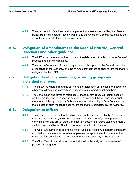6.5.4. The membership, functions, and arrangement for meetings of the Register Research Panel; Register Research Review Panel; and the Oversight Committee, shall be as set out in annex A to these standing orders.

# **6.6. Delegation of amendments to the Code of Practice, General Directions and other guidance**

- 6.6.1. The HFEA may agree from time to time to the delegation of revisions to the Code of Practice and general directions.
- 6.6.2. The terms of reference of such delegations shall be approved by Authority members at meetings of the Authority, and the minutes of that meeting shall record the matters delegated by the HFEA.

# **6.7. Delegation to other committees, working groups and individual members**

- 6.7.1. The HFEA may agree from time to time to the delegation of functions and powers to other committees, sub-committees, working groups, or individual members.
- 6.7.2. The constitution and terms of reference of these committees, sub-committees or working groups, and their specific delegated powers and those of any individual member shall be approved by Authority members at meetings of the Authority, and the minutes of such meetings shall record the matters delegated by the Authority.

#### **6.8. Delegation to officers**

- 6.8.1. Those functions of the Authority, which have not been reserved by the Authority or delegated to the Chair (in Section 5 of these standing orders); or delegated to a committee, working group, panel, or officer (in Section 6 of these standing orders), shall be exercised by the Chief Executive on behalf of the Authority.
- 6.8.2. The Chief Executive shall determine which functions he/she will perform personally and shall nominate officers or other employees, as appropriate, to undertake the remaining functions for which he/she will retain accountability to the Authority.
- 6.8.3. The Chief Executive shall report periodically to the Authority on the exercise of powers so delegated.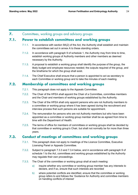#### **7.** Committees, working groups and advisory groups

#### **7.1. Power to establish committees and working groups**

- 7.1.1. In accordance with section 9A(2) of the Act, the Authority shall establish and maintain the committees set out in annex A to these standing orders.
- 7.1.2. In accordance with paragraph 9 of schedule 1, the Authority may from time to time, establish working groups of Authority members and other members as deemed necessary by the Authority.
- 7.1.3. A proposal to establish a working group shall identify the purpose of the group, the likely budget and employee resources needed; the outputs required of the group, and the timeframe for which the group shall exist.
- 7.1.4. The Chief Executive shall ensure that a person is appointed to act as secretary to each Committee or working group and to take the minutes of each meeting.

# **7.2. Membership of committees and working groups**

- 7.2.1. This paragraph does not apply to the Appeals Committee.
- 7.2.2. The Chair of the HFEA shall appoint the Chair of a Committee, committee members and the Chair and members of working groups established by the Authority.
- 7.2.3. The Chair of the HFEA shall only appoint persons who are not Authority members to a committee or working group where it has been agreed during the recruitment and interview process that such persons are suitable for appointment.
- 7.2.4. The remuneration for persons who are not Authority members but who have been appointed as a committee or working group member shall be as agreed from time to time with the Department of Health.
- 7.2.5. The terms of office for members of committees or working groups shall be decided by that committee or working group's Chair, but shall not normally be for more than three years.

# **7.3. Conduct of meetings of committees and working groups**

- 7.3.1. This paragraph does not apply to meetings of the Licence Committee, Executive Licensing Panel or Appeals Committee.
- 7.3.2. Subject to paragraph 7.3.3 and 7.3.4 below, and in accordance with paragraph 9 of schedule 1 to the Act, committees and working groups established by the Authority may regulate their own proceedings.
- 7.3.3. The Chair of the committee or working group shall at each meeting:
	- a) inquire whether any committee or working group member has any interests to declare, and if so, ensure that such interests are recorded
	- b) where potential conflicts are identified, ensure that the committee or working group refers to and follows the 'Guidance for Authority and committee members on handling conflicts of interest'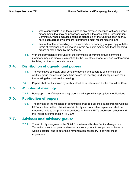- c) where appropriate, sign the minutes of any previous meetings with any agreed amendments that may be necessary; except in the case of the Remuneration Committee, whose minutes should be signed off by the Chair as soon as they have been agreed by members following the most recent meeting, and
- d) ensure that the proceedings of the committee or working group comply with the terms of reference and delegated powers set out in Annex A to these standing orders or established by the Authority.
- 7.3.4. With the permission of the Chair of the committee or working group, committee members may participate in a meeting by the use of telephone- or video-conferencing facilities, or other appropriate means.

#### **7.4. Distribution of agenda and papers**

- 7.4.1. The committee secretary shall send the agenda and papers to all committee or working group members in good time before the meeting, and usually no less than five working days before the meeting.
- 7.4.2. Papers shall be distributed by such method as is determined by the committee Chair.

#### **7.5. Minutes of meetings**

7.5.1. Paragraph 4.10 of these standing orders shall apply with appropriate modifications.

#### **7.6. Publication of papers**

7.6.1. The minutes of the meetings of committees shall be published in accordance with the HFEA's policy on the publication of Authority and committee papers and shall be made available to the public in accordance with the HFEA's publication scheme and the Freedom of Information Act 2000.

#### **7.7. Advisers and advisory groups**

7.7.1. The Authority delegates to the Chief Executive and his/her Senior Management Team the power to appoint advisers or advisory groups to support committees or working groups, and to determine remuneration necessary (if any) for those appointees.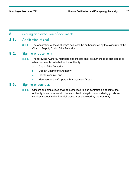#### **8.** Sealing and execution of documents

#### **8.1.** Application of seal

8.1.1. The application of the Authority's seal shall be authenticated by the signature of the Chair or Deputy Chair of the Authority.

#### **8.2.** Signing of documents

- 8.2.1. The following Authority members and officers shall be authorised to sign deeds or other documents on behalf of the Authority:
	- a) Chair of the Authority
	- b) Deputy Chair of the Authority
	- c) Chief Executive, and
	- d) Members of the Corporate Management Group.

#### **8.3.** Signing of contracts

8.3.1. Officers and employees shall be authorised to sign contracts on behalf of the Authority in accordance with the authorised delegations for ordering goods and services set out in the financial procedures approved by the Authority.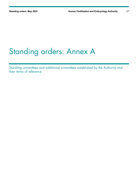# Standing orders: Annex A

Standing committees and additional committees established by the Authority and their terms of reference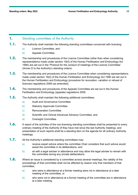### **1.** Standing committees of the Authority

- **1.1.** The Authority shall maintain the following standing committees concerned with licensing:
	- a) Licence Committee, and
	- b) Appeals Committee.
- **1.2.** The membership and procedures of the Licence Committee (other than when considering representations made under section 19(4) of the Human Fertilisation and Embryology Act 1990) are set out in the 'Protocol for the conduct of meetings of the Licence Committee' (Annex D to the Authority's standing orders).
- **1.3.** The membership and procedures of the Licence Committee when considering representations made under section 19(4) of the Human Fertilisation and Embryology Act 1990 are set out in the Human Fertilisation and Embryology (procedure for revocation, variation or refusal of licences) regulations 2009 (as amended).
- **1.4.** The membership and procedures of the Appeals Committee are set out in the Human Fertilisation and Embryology (appeals) regulations 2009.
- **1.5.** The Authority shall maintain the following additional committees:
	- a) Audit and Governance Committee
	- b) Statutory Approvals Committee
	- c) Remuneration Committee
	- d) Scientific and Clinical Advances Advisory Committee, and
	- e) Oversight Committee.
- **1.6.** A report of the activities of the non-licensing standing committees shall be presented to every ordinary meeting of the Authority (if they have met since the last Authority meeting), and presentation of such reports shall be a standing item on the agenda for all ordinary Authority meetings.
- **1.7.** All the Authority's additional standing committees may:
	- a) receive expert advice where the committee Chair considers that such advice would assist the committee in its deliberations, and
	- b) sit with a legal adviser in attendance and may allow the legal adviser to remain with the committee during any private deliberations.
- **1.8.** Where an issue is considered by a committee across several meetings, the validity of the proceedings of that committee shall not be affected by reason only that members of that committee,
	- a) who were in attendance at a former meeting were not in attendance at a later meeting of the committee, or
	- b) who were not in attendance at a former meeting of the committee are in attendance at a later meeting.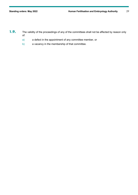- 1.9. The validity of the proceedings of any of the committees shall not be affected by reason only of:
	- a) a defect in the appointment of any committee member, or
	- b) a vacancy in the membership of that committee.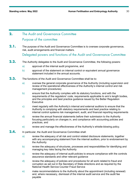# **2.** The Audit and Governance Committee Purpose of the committee

2.1. The purpose of the Audit and Governance Committee is to oversee corporate governance, risk, audit arrangements and financial matters.

Delegated powers and functions of the Audit and Governance Committee

- **2.2.** The Authority delegates to the Audit and Governance Committee, the following powers:
	- a) approval of the internal audit programme, and
	- b) approval of the statement on internal control or equivalent annual governance statement included in the annual accounts.
- **2.3.** The functions of the Audit and Governance Committee shall be to:
	- a) oversee the general corporate governance of the Authority (including supervision and review of the operational effectiveness of the Authority's internal control and risk management procedures)
	- b) ensure that the Authority complies with its statutory functions, and with the requirements of the regulators' code, requirements applicable to arm's length bodies, and the principles and best practice guidance issued by the Better Regulation **Executive**
	- c) meet regularly with the Authority's internal and external auditors to ensure that the Authority is complying with statutory requirements and best practice relating to internal control systems risk management, audit, and financial reporting requirements
	- d) review the annual financial statements before their submission to the Authority focusing particularly on changes in, and compliance with accounting policies and practices, and
	- e) review and manage the effectiveness of the Authority's whistle-blowing policy.
- **2.4.** In particular, the Audit and Governance Committee shall:
	- a) review the adequacy of all risk and control related disclosure statements, together with any accompanying statement from the internal auditors, prior to endorsement by the Authority
	- b) review the adequacy of structures, processes and responsibilities for identifying and managing key risks facing the Authority
	- c) review the adequacy of internal audit policies to ensure compliance with the controls assurance standards and other relevant guidance
	- d) review the adequacy of policies and procedures for all work related to fraud and corruption as set out in the Secretary of State directions and as required by the National Health Service Counter Fraud Service
	- e) make recommendations to the Authority about the appointment (including renewal) and, where necessary, dismissal of the internal audit service and the audit fee payable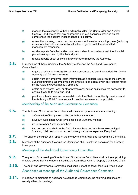- f) manage the relationship with the external auditor (the Comptroller and Auditor General), and ensure that any chargeable non-audit services provided do not compromise the auditors' independence or objectivity
- g) review the planning, conduct and conclusions of the external audit process (including review of all reports and annual audit letters, together with the associated management responses)
- h) receive reports from the tender panel established in accordance with the financial procedures approved by the Authority, and
- i) receive reports about all consultancy contracts made by the Authority.
- 2.5. In pursuance of these functions, the Authority authorises the Audit and Governance Committee to:
	- a) require a review or investigation of any procedures and activities undertaken by the Authority that fall within its remit
	- b) obtain from any employee, such information as it considers relevant to the carrying out of its functions (all employees are directed to co-operate with any request made by the Audit and Governance Committee)
	- c) obtain such external legal or other professional advice as it considers necessary to enable it to fulfil its functions, and
	- d) provide such advice or recommendations to the Chair, the Authority members and the Authority's Chief Executive, as it considers necessary or appropriate.

# Membership of the Audit and Governance Committee

- **2.6.** The Audit and Governance Committee shall consist of up to six members including:
	- a) a Committee Chair (who shall be an Authority member)
	- b) a Deputy Committee Chair (who shall be an Authority member)
	- c) up to two other Authority members
	- d) two persons who shall not be Authority members and who have relevant legal, financial, public sector or other corporate governance expertise, if required.
- **2.7.** The Chair of the HFEA shall appoint the members of the Audit and Governance Committee.
- **2.8.** Members of the Audit and Governance Committee shall usually be appointed for a term of three years.

#### Meetings of the Audit and Governance Committee

- **2.9.** The quorum for a meeting of the Audit and Governance Committee shall be three, providing that two are Authority members, including the Committee Chair or Deputy Committee Chair.
- **2.10.** The Audit and Governance Committee shall usually meet no fewer than four times a year. Attendance at meetings of the Audit and Governance Committee
- 2.11. In addition to members of Audit and Governance Committee, the following persons shall usually attend its meetings: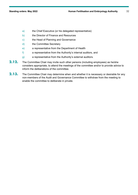- a) the Chief Executive (or his delegated representative)
- b) the Director of Finance and Resources
- c) the Head of Planning and Governance
- d) the Committee Secretary
- e) a representative from the Department of Health
- f) a representative from the Authority's internal auditors, and
- g) a representative from the Authority's external auditors.
- **2.12.** The Committee Chair may invite such other persons (including employees) as he/she considers appropriate, to attend the meetings of the committee and/or to provide advice to inform the deliberations of the committee.
- **2.13.** The Committee Chair may determine when and whether it is necessary or desirable for any non-members of the Audit and Governance Committee to withdraw from the meeting to enable the committee to deliberate in private.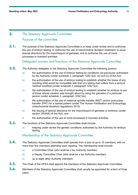# **3.** The Statutory Approvals Committee

#### Purpose of the committee

**3.1.** The purpose of the Statutory Approvals Committee is to keep under review and to authorise the use of embryo testing; to authorise the use of mitochondrial donation treatment; to issue special directions for the import/export of gametes; and to authorise the use of novel processes in licensed activities.

Delegated powers and functions of the Statutory Approvals Committee

- **3.2.** The Authority delegates to the Statutory Approvals Committee the following powers:
	- a) the authorisation of the use of embryo testing for conditions not previously authorised by the Authority (under schedule 2, paragraph 1ZA(1)(a), (b) and (c) of the Act)
	- b) the authorisation of the use of embryo testing to establish whether the tissue of any resulting child would be compatible with that of a sibling that suffers from a serious medical condition (under schedule 2, paragraph 1ZA(1)(d)
	- c) the authorisation of the use of embryo testing to establish whether an embryo is one of those whose creation was brought about by using the gametes of a particular person (under schedule 2, paragraph 1ZA(1)(e)
	- d) the authorisation of the use of maternal spindle transfer (MST) and/or pronuclear transfer (PNT) for a named patient (under The Human Fertilisation and Embryology (mitochondrial donation) regulations 2015)
	- e) the issuing of special directions for the import/export of gametes or embryos (under section 24(4AA) of the Act), and
	- f) the authorisation of the use of novel processes in licensed activities.
- **3.3.** The functions of the Statutory Approvals Committee shall include:
	- a) keeping under review the genetic conditions authorised by the Authority for embryo testing.

# Membership of the Statutory Approvals Committee

- **3.4.** The Statutory Approvals Committee shall operate from a pool of up to 10 members, with no more than five members attending each meeting. The membership shall include:
	- a) a Committee Chair (who shall be a lay Authority member).
	- b) a Deputy Committee Chair (who shall be a lay Authority member);
	- c) up to eight other Authority members.
- **3.5.** The Chair of the HFEA shall appoint the members of the Statutory Approvals Committee.
- **3.6.** Members of the Statutory Approvals Committee shall usually be appointed for a term of three years.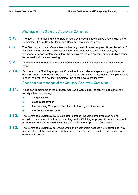# Meetings of the Statutory Approvals Committee

- **3.7.** The quorum for a meeting of the Statutory Approvals Committee shall be three including the Committee Chair or Deputy Committee Chair and two other members.
- **3.8.** The Statutory Approvals Committee shall usually meet 12 times per year. At the discretion of the Chair, the committee may meet additionally at short notice (and, if necessary, by telephone- or video-conference) if the Chair considers there is an item (or items) which cannot be delayed until the next meeting.
- **3.9.** No member of the Statutory Approvals Committee present at a meeting shall abstain from voting.
- **3.10.** Decisions of the Statutory Approvals Committee to authorise embryo testing, mitochondrial donation treatment or novel processes, or to issue special directions, require a simple majority (and in the event of a tie, the Committee Chair shall have a casting vote).

Attendance at meetings of the Statutory Approvals Committee

- **3.11.** In addition to members of the Statutory Approvals Committee, the following persons shall usually attend its meetings:
	- a) a legal adviser
	- b) a specialist adviser
	- c) the Licensing Manager or the Head of Planning and Governance
	- d) the Committee Secretary.
- **3.12.** The Committee Chair may invite such other persons (including employees) as he/she considers appropriate, to attend the meetings of the Statutory Approvals Committee and/or to provide advice to inform the deliberations of the Statutory Approvals Committee.
- **3.13.** The Committee Chair may determine when and whether it is necessary or desirable for any non-members of the committee to withdraw from the meeting to enable the committee to deliberate in private.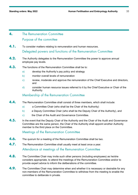# **4.** The Remuneration Committee Purpose of the committee

- **4.1.** To consider matters relating to remuneration and human resources. Delegated powers and functions of the Remuneration Committee
- **4.2.** The Authority delegates to the Remuneration Committee the power to approve annual employee pay levels.
- **4.3.** The functions of the Remuneration Committee shall be to:
	- a) develop the Authority's pay policy and strategy
	- b) monitor overall levels of remuneration
	- c) review, moderate and approve the remuneration of the Chief Executive and directors, and
	- d) consider human resource issues referred to it by the Chief Executive or Chair of the Authority.

#### Membership of the Remuneration Committee

- **4.4.** The Remuneration Committee shall consist of three members, which shall include:
	- a) a Committee Chair (who shall be the Chair of the Authority)
	- b) a Deputy Committee Chair (who shall be the Deputy Chair of the Authority), and
	- c) the Chair of the Audit and Governance Committee.
- **4.5.** In the event that the Deputy Chair of the Authority and the Chair of the Audit and Governance Committee are the same person, the Chair of the Authority shall appoint another Authority member to the third place on the Committee.

Meetings of the Remuneration Committee

- **4.6.** The quorum for a meeting of the Remuneration Committee shall be two.
- **4.7.** The Remuneration Committee shall usually meet at least once a year. Attendance at meetings of the Remuneration Committee
- **4.8.** The Committee Chair may invite such other persons (including employees) as he/she considers appropriate, to attend the meetings of the Remuneration Committee and/or to provide expert advice to inform the deliberations of the committee.
- **4.9.** The Committee Chair may determine when and whether it is necessary or desirable for any non-members of the Remuneration Committee to withdraw from the meeting to enable the committee to deliberate in private.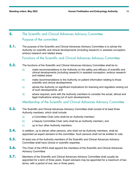# **5.** The Scientific and Clinical Advances Advisory Committee Purpose of the committee

**5.1.** The purpose of the Scientific and Clinical Advances Advisory Committee is to advise the Authority on scientific and clinical developments (including research) in assisted conception, embryo research and related areas.

Functions of the Scientific and Clinical Advances Advisory Committee

- **5.2.** The functions of the Scientific and Clinical Advances Advisory Committee shall be to:
	- a) make recommendations to the Authority on the safety and efficacy of scientific and clinical developments (including research) in assisted conception, embryo research and related areas
	- b) make recommendations to the Authority on patient information relating to those scientific and clinical developments
	- c) advise the Authority on significant implications for licensing and regulation arising out of such developments, and
	- d) where required, work with the Authority members to consider the social, ethical and legal implications arising out of such developments.

Membership of the Scientific and Clinical Advances Advisory Committee

- **5.3.** The Scientific and Clinical Advances Advisory Committee shall consist of at least three Authority members, which shall include:
	- a) a Committee Chair (who shall be an Authority member)
	- b) a Deputy Committee Chair (who shall be an Authority member), and
	- c) up to four other Authority members.
- **5.4.** In addition, up to eleven other persons, who shall not be Authority members, shall be appointed as expert advisers to the committee. Such persons shall not be entitled to vote.
- **5.5.** At least one of the Authority members of the Scientific and Clinical Advances Advisory Committee shall have clinical or scientific expertise.
- **5.6.** The Chair of the HFEA shall appoint the members of the Scientific and Clinical Advances Advisory Committee.
- **5.7.** Members of the Scientific and Clinical Advances Advisory Committee shall usually be appointed for a term of three years. Expert advisers may be appointed for a maximum of two terms, with a period of one, two or three years.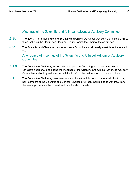#### Meetings of the Scientific and Clinical Advances Advisory Committee

- **5.8.** The quorum for a meeting of the Scientific and Clinical Advances Advisory Committee shall be three including the Committee Chair or Deputy Committee Chair of the committee.
- **5.9.** The Scientific and Clinical Advances Advisory Committee shall usually meet three times each year.

Attendance at meetings of the Scientific and Clinical Advances Advisory **Committee** 

- **5.10.** The Committee Chair may invite such other persons (including employees) as he/she considers appropriate, to attend the meetings of the Scientific and Clinical Advances Advisory Committee and/or to provide expert advice to inform the deliberations of the committee.
- **5.11.** The Committee Chair may determine when and whether it is necessary or desirable for any non-members of the Scientific and Clinical Advances Advisory Committee to withdraw from the meeting to enable the committee to deliberate in private.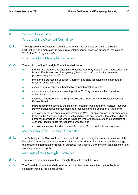#### **6.** Oversight Committee

#### Purpose of the Oversight Committee

**6.1.** The purpose of the Oversight Committee is to fulfil the functions set out in the Human Fertilisation and Embryology (disclosure of information for research purposes) regulations 2010 ('the 2010 regulations').

Functions of the Oversight Committee

- **6.2.** The functions of the Oversight Committee shall be to:
	- a) monitor the grant of authorisations to access Authority Register data made under the Human Fertilisation and Embryology (disclosure of information for research purposes) regulations 2010
	- b) monitor the processing of patient-, partner- and child-identifying Register data by research establishments
	- c) consider annual reports submitted by research establishments
	- d) consider such other matters relating to the 2010 regulations as the committee determines
	- e) oversee the functions of the Register Research Panel and the Register Research Review Panel
	- f) make recommendations to the Register Research Panel and the Register Research Review Panel about improvements to processes and the operation of the panels
	- g) approve any memorandum of understanding (MoU) or any contractual arrangements between the Authority and other public bodies with an interest in the safeguarding of personal information in the United Kingdom where these relate to the disclosure of Authority Register data for research purposes, and
	- h) approve variations of and amendments to such MoUs, contracts and agreements.

#### Membership of the Oversight Committee

**6.3.** The Authority is the Oversight Committee and, when performing the statutory functions of the Oversight Committee as set out in regulation 21 of the Human Fertilisation and Embryology (disclosure of information for research purposes) regulations 2010, the relevant sections of the standing orders will apply.

#### Meetings of the Oversight Committee

- **6.4.** The quorum for a meeting of the Oversight Committee shall be four.
- **6.5.** The Oversight Committee shall consider an overview report submitted by the Register Research Panel at least once a year.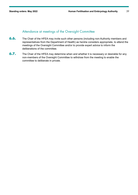#### Attendance at meetings of the Oversight Committee

- **6.6.** The Chair of the HFEA may invite such other persons (including non-Authority members and representatives from the Department of Health) as he/she considers appropriate, to attend the meetings of the Oversight Committee and/or to provide expert advice to inform the deliberations of the committee.
- **6.7.** The Chair of the HFEA may determine when and whether it is necessary or desirable for any non-members of the Oversight Committee to withdraw from the meeting to enable the committee to deliberate in private.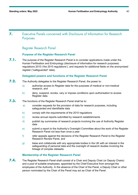**7.** Executive Panels concerned with Disclosure of Information for Research Purposes

#### Register Research Panel

#### **Purpose of the Register Research Panel**

**7.1.** The purpose of the Register Research Panel is to consider applications made under the Human Fertilisation and Embryology (disclosure of information for research purposes) regulations 2010 ('the 2010 regulations'), and requests for additional fields on the anonymised register ("safeguarded" data).

#### **Delegated powers and functions of the Register Research Panel**

- **7.2.** The Authority delegates to the Register Research Panel, the power to:
	- a) authorise access to Register data for the purposes of medical or non-medical research, and
	- b) deny, suspend, revoke, vary or impose conditions upon authorisation to access Register data.
- **7.3.** The functions of the Register Research Panel shall be to:
	- a) consider requests for the provision of data for research purposes, including safeguarded and identifiable data
	- b) comply with the requirements of the 2010 regulations
	- c) review annual reports submitted by research establishments
	- d) publish lay summaries of research projects involving the use of Authority Register data
	- e) submit a report to the Authority's Oversight Committee about the work of the Register Research Panel not less than once a year
	- f) refer appeals against the decisions of the Register Research Panel to the Register Research Review Panel, and
	- g) liaise and collaborate with any appropriate bodies in the UK with an interest in the safeguarding of personal data and the oversight of research studies involving the linkage of complex datasets.

#### **Membership of the Register Research Panel**

**7.4.** The Register Research Panel shall consist of a Chair and Deputy Chair (or Deputy Chairs) and a pool of suitable employees, appointed by the Chief Executive from amongst the employees of the Authority. In the absence of the Chair of the Panel, a Deputy Chair or other person nominated by the Chair of the Panel may act as Chair of the Panel.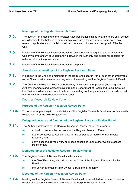#### **Meetings of the Register Research Panel**

- **7.5.** The quorum for a meeting of the Register Research Panel shall be five, and there shall be due consideration to the balance of membership to ensure a fair and robust appraisal of any research applications and decisions. All decisions and minutes must be signed off by the Chair.
- **7.6.** Meetings of the Register Research Panel will be scheduled as required and in accordance with any memorandum of understanding between the Authority and bodies responsible for national information governance.
- **7.7.** Meetings of the Register Research Panel will be private.

#### **Attendance at meetings of the Register Research Panel**

- **7.8.** In addition to the Chair and members of the Register Research Panel, such other employees as the Chair considers necessary may attend the meetings of the Register Research Panel.
- **7.9.** The Chair of the Register Research Panel may invite such other persons (including non-Authority members and representatives from the Department of Health and Social Care) as the Chair considers appropriate, to attend the meetings of that panel and/or to provide expert advice to inform the deliberations of the panel.

#### Register Research Review Panel

#### **Purpose of the Register Research Review Panel**

**7.10.** To consider appeals against the decisions of the Register Research Panel in accordance with Regulation 12 of the 2010 Regulations.

#### **Delegated powers and function of the Register Research Review Panel**

- **7.11.** The Authority delegates to the Register Research Review Panel, the power to:
	- a) uphold or overturn the decisions of the Register Research Panel
	- b) authorise access to Register data for the purposes of medical or non-medical research, and
	- c) deny, suspend, revoke, vary or impose conditions upon authorisation to access Register data.

#### **Membership of the Register Research Review Panel**

- **7.12.** The Register Research Review Panel shall consist of:
	- a) the Chief Executive, who will act as the Chair of the Register Research Review Panel, and
	- b) the Senior Information Risk Owner (SIRO) of the Authority.

#### **Meetings of the Register Research Review Panel**

**7.13.** Meetings of the Register Research Review Panel shall be scheduled as required following receipt of an appeal against the decisions of the Register Research Panel.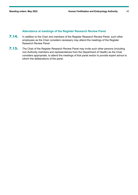#### **Attendance at meetings of the Register Research Review Panel**

- **7.14.** In addition to the Chair and members of the Register Research Review Panel, such other employees as the Chair considers necessary may attend the meetings of the Register Research Review Panel.
- **7.15.** The Chair of the Register Research Review Panel may invite such other persons (including non-Authority members and representatives from the Department of Health) as the Chair considers appropriate, to attend the meetings of that panel and/or to provide expert advice to inform the deliberations of the panel.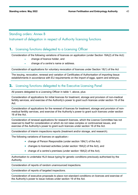#### Standing orders: Annex B

#### Instrument of delegation in respect of Authority licensing functions

#### **1.** Licensing functions delegated to a Licensing Officer

Consideration of the following variations of licences on application (under Section 18A(2) of the Act):

- change of licence holder, and
- change of a centre's name or address.

Consideration of applications for voluntary revocation of licences under Section 18(1) of the Act

The issuing, revocation, renewal and variation of Certificates of Authorisation of importing tissue establishments in accordance with EU requirements on the import of eggs, sperm and embryos.

#### **2.** Licensing functions delegated to the Executive Licensing Panel

All powers delegated to a Licensing Officer in table 1, above, plus:

Consideration of applications for initial licences for treatment, storage and provision of non-medical fertility services, and exercise of the Authority's power to grant such licences under section 16 of the Act.

Consideration of applications for the renewal of licences for treatment, storage and provision of nonmedical fertility services, and exercise of the Authority's power to grant such licences under section 16 of the Act.

Consideration of renewal applications for research licences, which the Licence Committee has not reserved to itself for consideration or which do not raise complex or controversial issues, and exercise of the Authority's power to grant such licences under section 16 of the Act.

Consideration of interim inspections reports (treatment and/or storage, and research).

The following variations of licences on application:-

- change of Person Responsible (under section 18A(1) of the Act)
- changes to licensed activities (under section 18A(2) of the Act), and
- change of a centre's premises (under section 18A(2) of the Act).

Authorisation to undertake HLA tissue typing for genetic conditions previously authorised by the Authority.

Consideration of reports of random unannounced inspections.

Consideration of reports of targeted inspections.

Consideration of executive proposals to place non-standard conditions on licences and exercise of the Authority's power to issue notices under section 19 of the Act.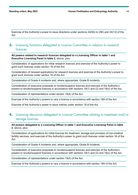Exercise of the Authority's power to issue directions under sections 24(5A) to (5E) and 24(13) of the Act.

# **3.** Licensing functions delegated to Licence Committee in relation to research licences

**All powers related to research licences delegated to a Licensing Officer in table 1 and Executive Licensing Panel in table 2**, above, plus:

Consideration of applications for initial research licences and exercise of the Authority's power to grant such licences under section 16 of the Act.

Consideration of renewal applications for research licences and exercise of the Authority's power to grant such licences under section 16 of the Act.

Consideration of Grade A incidents and, where appropriate, Grade B incidents.

Consideration of executive proposals to revoke/suspend licences and exercise of the Authority's powers to revoke/suspend licences in accordance with sections 18(1) and (2) and 19(c) of the Act.

Consideration of representations under section 19(4) of the Act.

Exercise of the Authority's powers to vary a licence in accordance with section 18A of the Act.

Exercise of the Authority's power to issue notices under section 19 of the Act.

#### **4.** Licensing decisions delegated to Licence Committee relating to treatment and/or storage licences

**All powers delegated to a Licensing Officer in table 1 and Executive Licensing Panel in table 2**, above, plus:

Consideration of applications for initial licences for treatment, storage and provision of non-medical fertility services, and exercise of the Authority's power to grant such licences under section 16 of the Act.

Consideration of Grade A incidents and, where appropriate, Grade B incidents.

Consideration of executive proposals to revoke/suspend licences and exercise of the Authority's powers to revoke/suspend licences in accordance with sections 18(1) and (2) and 19(c) of the Act.

Consideration of representations under section 19(4) of the Act.

Exercise of the Authority's powers to vary a licence in accordance with section 18A of the Act.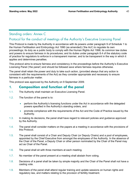#### Standing orders: Annex C

#### Protocol for the conduct of meetings of the Authority's Executive Licensing Panel

This Protocol is made by the Authority in accordance with its powers under paragraph 9 of Schedule 1 to the Human Fertilisation and Embryology Act 1990 (as amended) ('the Act') to regulate its own proceedings; its duty as a public body to comply with the Human Rights Act 1998; its common law duties and powers to ensure fairness in its procedures; and its duties under paragraph 8.4 of the statutory code of practice for regulators to enforce in a transparent manner, and to be transparent in the way in which it applies and determines penalties.

This protocol aims to ensure fairness and consistency in the proceedings before the Authority's Executive Licensing Panel ('the panel') and should be followed save where fairness requires otherwise.

The panel shall retain the power and duty to take such action, (provided always that any action is consistent with the requirements of the Act) as they consider appropriate and necessary to ensure fairness in a particular matter.

This protocol was approved by the Authority on 9 September 2009.

#### **1. Composition and function of the panel**

- 1.1. The Authority shall maintain an Executive Licensing Panel.
- 1.2. The function of the panel is to:
	- perform the Authority's licensing functions under the Act in accordance with the delegated powers specified in the Authority's standing orders, and
	- promote compliance with the requirements of the Act and the Code of Practice issued by the Authority.
- 1.3. In making its decisions, the panel shall have regard to relevant policies and guidance approved by the Authority.
- 1.4. The panel shall consider matters on the papers at a meeting in accordance with the provisions of this Protocol.
- 1.5. The panel shall consist of a Chair and Deputy Chair (or Deputy Chairs) and a pool of employees, appointed by the Chief Executive from amongst the employees of the Authority. In the absence of the Chair of the Panel, a Deputy Chair or other person nominated by the Chair of the Panel may act as Chair of the Panel.
- 1.6. The panel shall sit with three members at each meeting.
- 1.7. No member of the panel present at a meeting shall abstain from voting.
- 1.8. Decisions of a panel shall be taken by simple majority and the Chair of the Panel shall not have a casting vote.
- 1.9. Members of the panel shall attend regular training and update sessions on human rights and regulatory law, and matters relating to the provision of fertility treatment.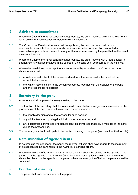#### **2. Advisers to committees**

- 2.1. Where the Chair of the Panel considers it appropriate, the panel may seek written advice from a legal, clinical or specialist adviser before making its decision.
- 2.2. The Chair of the Panel shall ensure that the applicant, the proposed or actual person responsible, licence holder or person whose licence is under consideration is afforded a reasonable opportunity to comment on any written advice received by the panel before the panel makes its decision.
- 2.3. Where the Chair of the Panel considers it appropriate, the panel may sit with a legal adviser in attendance. Any advice provided in the course of a meeting shall be recorded in the minutes.
- 2.4. Where the panel does not accept the advice tendered by an adviser, the Chair of the panel should ensure that:
	- a) a written record is kept of the advice tendered, and the reasons why the panel refused to accept that advice, and
	- b) the written record is sent to the person concerned, together with the decision of the panel, and the reasons for its decision.

#### **3. Secretary to the panel**

- 3.1. A secretary shall be present at every meeting of the panel.
- 3.2. The function of the secretary shall be to make all administrative arrangements necessary for the proceedings of the panel to be effective, and to keep a record of:
	- a) the panel's decision and of the reasons for such decision
	- b) any advice tendered by a legal, clinical or specialist adviser, and
	- c) any declarations of interest (or potential conflicts of interest) made by a member of the panel during the proceedings.
- 3.3. The secretary shall not participate in the decision making of the panel (and is not entitled to vote).

#### **4. Determination of agenda items**

- 4.1. In determining the agenda for the panel, the relevant officers shall have regard to the instrument of delegation set out in Annex B to the Authority's standing orders.
- 4.2. Where the relevant officers are unsure whether a matter should be placed on the agenda of the panel or on the agenda of the Licence Committee, the presumption should be that the matter should be placed on the agenda of the panel. Where necessary, the Chair of the panel should be consulted.

# **5. Conduct of meeting**

5.1. The panel shall consider matters on the papers.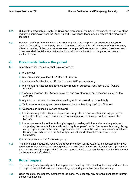- 5.2. Subject to paragraph 5.3, only the Chair and members of the panel, the secretary, and any other required support staff from the Planning and Governance team may be present at a meeting of the panel.
- 5.3. Employees of the Authority who have been appointed to the panel, or an external lawyer or auditor charged by the Authority with audit and evaluation of the effectiveness of the panel may attend a meeting of the panel as observers, or as part of their induction training. However, such observers shall not take any part in the discussion or deliberation of the panel, and are not entitled to vote.

#### **6. Documents before the panel**

- 6.1. At each meeting, the panel shall have access to:
	- a) this protocol
	- b) relevant edition(s) of the HFEA Code of Practice
	- c) the Human Fertilisation and Embryology Act 1990 (as amended)
	- d) the Human Fertilisation and Embryology (research purposes) regulations 2001 (where relevant)
	- e) General directions 0008 (where relevant), and any other relevant directions issued by the Authority
	- f) any relevant decision trees and explanatory notes approved by the Authority
	- g) 'Guidance for Authority and committee members on handling conflicts of interest'
	- h) 'Guidance on licensing' (where relevant)
	- i) the licence application (where relevant) and any relevant documentation in support of the application from the applicant and/or proposed person responsible for the centre to be licensed
	- j) the recommendation of the Authority's inspector dealing with the matter and any relevant supporting documentation (usually including three years' worth of a centre's licensing history, as appropriate, and in the case of applications for a research licence, any relevant academic literature and advice from the Authority's Scientific and Clinical Advances Advisory Committee)
	- k) the compliance and enforcement policy.
- 6.2. The panel shall not usually receive the recommendation of the Authority's inspector dealing with the matter or any relevant supporting documentation from that inspector, unless the applicant or person concerned (as appropriate) has been provided with a reasonable opportunity to comment on this material beforehand.

#### **7. Panel papers**

- 7.1. The secretary shall usually send the papers for a meeting of the panel to the Chair and members of the panel scheduled to attend the meeting, seven days in advance of the meeting.
- 7.2. Upon receipt of the papers, members of the panel must identify any potential conflicts of interest as soon as possible.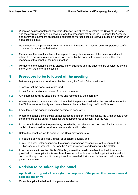- 7.3. Where an actual or potential conflict is identified, members must inform the Chair of the panel and the secretary as soon as possible, and the procedure set out in the 'Guidance for Authority and committee members on handling conflicts of interest' shall be followed in deciding whether or not a conflict exists.
- 7.4. No member of the panel shall consider a matter if that member has an actual or potential conflict of interest in relation to that matter.
- 7.5. Members of the panel shall read the papers thoroughly in advance of the meeting and shall refrain from discussing matters to be considered by the panel with anyone except the other members of the panel, at the panel meeting.
- 7.6. Members of the panel shall only discuss panel business and the papers to be considered by the panel when the panel is in session.

# **8. Procedure to be followed at the meeting**

- 8.1. Before any papers are considered by the panel, the Chair of the panel should:
	- a) check that the panel is quorate, and
	- b) ask for declarations of interest from each member.
- 8.2. Any interests declared should be noted and recorded by the secretary.
- 8.3. Where a potential or actual conflict is identified, the panel should follow the procedure set out in the 'Guidance for Authority and committee members on handling conflicts of interest'.
- 8.4. Each item on the agenda should be considered separately.
- 8.5. Where the panel is considering an application to grant or renew a licence, the Chair should direct the members of the panel to consider the requirements of section 16 of the Act.
- 8.6. In makings its decision, the panel may be aided by the relevant decision tree. Each stage of the decision tree should be considered separately, and in order.
- 8.7. Before the panel makes its decision, the Chair may adjourn to:
	- a) seek the advice of a legal, clinical or specialist adviser, and
	- b) require further information from the applicant or person responsible for the centre to be licensed (as appropriate), or from the Authority's inspector dealing with the matter.
- 8.8. In accordance with section 16(4) of the Act, where the panel considers that the information provided with an application is insufficient to enable it to determine that application, it need not consider the application until the applicant has provided it with such further information as the panel may require.

# **9. Decision to be taken by the panel**

#### **Applications to grant a licence (for the purposes of the panel, this covers renewal applications only)**

9.1. On each application before it, the panel must decide: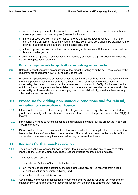- a) whether the requirements of section 16 of the Act have been satisfied, and if so, whether to make a proposed decision to grant (renew) the licence
- b) if the proposed decision is for the licence is to be granted (renewed), whether it is on the same or different terms, including whether any additional conditions should be attached to the licence in addition to the standard licence conditions, and
- c) if the proposed decision is for the licence is to be granted (renewed), for what period that new licence is to be granted.
- 9.2. In determining the period of any licence to be granted (renewed), the panel should consider the indicative applications guidance.

#### **Particular requirements for applications authorising embryo testing**

- 9.3. Before the panel can grant an application authorising the testing of embryos, it must consider the requirements of paragraph 1ZA of schedule 2 to the Act.
- 9.4. Where the application seeks authorisation for the testing of an embryo in circumstances in which there is a particular risk that an embryo may have a gene, chromosome or mitochondrion abnormality, the panel must consider the requirement of paragraph 1ZA(2) of schedule 2 to the Act. In particular, the panel must be satisfied that there is a significant risk that a person with the abnormality will have or develop a serious physical or mental disability, a serious illness or any other serious medical condition.

# **10. Procedure for adding non-standard conditions and for refusal, variation or revocation of licence**

- 10.1. If the panel is minded to refuse an application to grant, revoke or vary a licence, or minded to grant a licence subject to non-standard conditions, it must follow the procedure in section 19(1) of the Act.
- 10.2. If the panel is minded to revoke a licence on application, it must follow the procedure in section 19A(2) of the Act.
- 10.3. If the panel is minded to vary or revoke a licence otherwise than on application, it must refer the issue to the Licence Committee for consideration. The panel must record in the minutes of its deliberation the reasons why it was minded to vary or revoke the licence.

# **11. Reasons for the panel's decision**

- 11.1. The panel shall give reasons for each decision that it makes, including any decisions to refer matters to the Licence Committee. These reasons must be recorded in the minutes.
- 11.2. The reasons shall set out:
	- a) any relevant findings of fact made by the panel
	- b) any matters taken into account by the panel (including any advice received from a legal, clinical, scientific or specialist adviser), and
	- c) why the panel reached its decision.
- 11.3. Additionally, in the case of applications to authorise embryo testing for gene, chromosome or mitochondrion abnormalities, the reasons must set why the panel is satisfied that there is a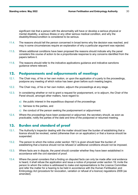significant risk that a person with the abnormality will have or develop a serious physical or mental disability, a serious illness or any other serious medical condition, and why the disability/illness/condition is considered to be serious.

- 11.4. The reasons should tell the person concerned in broad terms why the decision was reached, and may in some circumstances require an explanation of why a particular argument was rejected.
- 11.5. Where additional conditions have been proposed the reasons should indicate why the panel considers this course of action to be a proportionate response to any concerns identified from the papers before it.
- 11.6. The reasons should refer to the indicative applications guidance and indicative sanctions guidance where relevant.

#### **12. Postponements and adjournments of meetings**

- 12.1. The Chair may, of his or her own motion, or upon the application of a party to the proceedings, postpone any meeting of which notice has been given before such meeting begins.
- 12.2. The Chair may, of his or her own motion, adjourn the proceedings at any stage.
- 12.3. In considering whether or not to grant a request for postponement, or to adjourn, the Chair of the Panel should, amongst other matters, have regard to:
	- a) the public interest in the expeditious disposal of the proceedings
	- b) fairness to the parties, and
	- c) the conduct of the person seeking the postponement or adjournment.
- 12.4. Where the proceedings have been postponed or adjourned, the secretary should, as soon as practicable, notify the parties of the date and time of the postponed or resumed meeting.

# **13. Burden and standard of proof**

- 13.1. The Authority's inspector dealing with the matter should bear the burden of establishing that a licence should be revoked, varied (otherwise than on an application) or that a licence should be suspended.
- 13.2. The person to whom the notice under section 19(1) is given should bear the burden of establishing that a licence should not be refused or additional conditions should not be imposed.
- 13.3. Where facts are in dispute, the panel should consider whether they have been established in accordance with the civil standard of proof.
- 13.4. Where the panel considers that a finding on disputed facts can only be made after oral evidence is heard, it shall refuse the application and issue a notice of proposal under section 19; invite the person to whom the notice is addressed to make oral representations to the Licence Committee and refer the matter for a hearing to be held in accordance with the Human Fertilisation and Embryology Act (procedure for revocation, variation or refusal of a licence) regulations 2009 (as amended).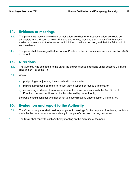#### **14. Evidence at meetings**

- 14.1. The panel may receive any written or real evidence whether or not such evidence would be admissible in a civil court of law in England and Wales, provided that it is satisfied that such evidence is relevant to the issues on which it has to make a decision, and that it is fair to admit such evidence.
- 14.2. The panel shall have regard to the Code of Practice in the circumstances set out in section 25(6) of the Act.

#### **15. Directions**

- 15.1. The Authority has delegated to the panel the power to issue directions under sections 24(5A) to  $(5E)$  and  $24(13)$  of the Act.
- 15.2. When:
	- a) postponing or adjourning the consideration of a matter
	- b) making a proposed decision to refuse, vary, suspend or revoke a licence, or
	- c) considering evidence of an adverse incident or non-compliance with the Act, Code of Practice, licence conditions or directions issued by the Authority,

the panel should consider whether or not to issue directions under section 24 of the Act.

# **16. Evaluation and report to the Authority**

- 16.1. The Chair of the panel shall hold regular periodic meetings for the purpose of reviewing decisions made by the panel to ensure consistency in the panel's decision making processes.
- 16.2. The Chair shall report to each Authority meeting on the activities of the panel.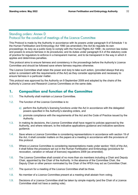# Standing orders: Annex D Protocol for the conduct of meetings of the Licence Committee

This Protocol is made by the Authority in accordance with its powers under paragraph 9 of Schedule 1 to the Human Fertilisation and Embryology Act 1990 (as amended) ('the Act')to regulate its own proceedings; its duty as a public body to comply with the Human Rights Act 1998 ; its common law duties and powers to ensure fairness in its procedures; and its duties under paragraph 8.4 of the statutory code of practice for regulators to enforce in a transparent manner, and to be transparent in the way in which it applies and determines penalties.

This protocol aims to ensure fairness and consistency in the proceedings before the Authority's Licence Committee and should be followed save where fairness requires otherwise.

The Licence Committee shall retain the power and duty to take such action, (provided always that any action is consistent with the requirements of the Act) as they consider appropriate and necessary to ensure fairness in a particular matter.

This protocol was approved by the Authority on 9 September 2009 and adopted by the chairs of the Authority's Licence and Research Licence Committees on the same date.

# **1. Composition and function of the Committee**

- 1.1. The Authority shall maintain a Licence Committee.
- 1.2. The function of the Licence Committee is to:
	- a) perform the Authority's licensing functions under the Act in accordance with the delegated powers specified in the Authority's standing orders, and
	- b) promote compliance with the requirements of the Act and the Code of Practice issued by the Authority.
- 1.3. In making its decisions, the Licence Committee shall have regard to policies approved by the Authority, and where relevant, to the indicative applications guidance and indicative sanctions guidance.
- 1.4. Save where a Licence Committee is considering representations in accordance with section 19 of the Act, it shall consider matters on the papers at a meeting in accordance with the provisions of this protocol.
- 1.5. Where a Licence Committee is considering representations made under section 19(4) of the Act, it shall follow the procedure set out in the Human Fertilisation and Embryology (procedure for revocation, variation or refusal of licences) regulations 2009 (as amended).
- 1.6. The Licence Committee shall consist of no more than six members including a Chair and Deputy Chair, appointed by the Chair of the Authority. In the absence of the Committee Chair, the Deputy Chair or other person nominated by the Chair of the HFEA may act as Committee Chair.
- 1.7. The quorum for a meeting of the Licence Committee shall be three.
- 1.8. No member of a Licence Committee present at a meeting shall abstain from voting.
- 1.9. Decisions of a Licence Committee shall be taken by simple majority (and the Chair of a Licence Committee shall not have a casting vote).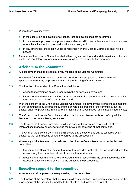- 1.10. Where there is a tied vote:
	- a) in the case of an application for a licence, that application shall not be granted
	- b) in the case of a proposal to impose non-standard conditions on a licence, or to vary, suspend or revoke a licence, that proposal shall not succeed, and
	- $\vert c \rangle$  in any other case, the motion under consideration by the Licence Committee shall not be passed.
- 1.11. Members of the Licence Committee shall attend regular training and update sessions on human rights and regulatory law, and matters relating to the provision of fertility treatment.

#### **2. Advisers to the Committee**

- 2.1. A legal adviser shall be present at every meeting of the Licence Committee.
- 2.2. Where the Chair of the Licence Committee considers it appropriate, a clinical, scientific or specialist adviser may be present at a meeting or hearing of that Committee.
- 2.3. The function of an adviser to a Committee shall be to:
	- a) advise that committee on any areas within the adviser's expertise, and
	- b) intervene to advise that committee on an issue where it appears that without an intervention there is the possibility of an error being made.
- 2.4. With the consent of the Chair of the Licence Committee, an adviser who is present at a meeting of that committee may be present during the private deliberations of the committee, but the adviser shall not participate in the decision making of that committee (and is not entitled to vote).
- 2.5. The Chair of the Licence Committee shall ensure that a written record is kept of any advice tendered to the committee by an adviser.
- 2.6. The Chair of the Licence Committee shall also ensure that a written record is kept of any interventions made by an adviser during the private deliberations of that committee.
- 2.7. The Chair of the Licence Committee shall ensure that a copy of any advice tendered by an adviser to that committee is sent to the parties to the proceedings.
- 2.8. Where any advice tendered by an adviser to the Licence Committee is not accepted by that committee:
	- a) the committee Chair shall ensure that a written record is kept of the advice tendered, and the reasons why the committee refused to accept that advice; and
	- b) a copy of the record of the advice tendered and the reasons why the committee refused to accept that advice should be sent to the parties to the proceedings.

#### **3. Executive support to the committee**

- 3.1. A secretary shall be present at every meeting of the committee.
- 3.2. The function of the secretary shall be to make all administrative arrangements necessary for the proceedings of the Licence Committee to be effective, and to keep a record of: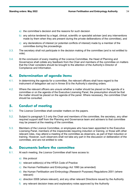- a) the committee's decision and the reasons for such decision
- b) any advice tendered by a legal, clinical, scientific or specialist adviser (and any interventions made by them when they are present during the private deliberations of the committee), and
- c) any declarations of interest (or potential conflicts of interest) made by a member of the committee during the proceedings.
- 3.3. The secretary shall not participate in the decision making of the committee (and is not entitled to vote).
- 3.4. At the conclusion of every meeting of the Licence Committee, the Head of Planning and Governance shall collate any feedback from the Chair and members of the committee on matters that the Chair considers should be brought to the attention of the Authority's Director of Compliance and Information.

# **4. Determination of agenda items**

- 4.1. In determining the agenda for a committee, the relevant officers shall have regard to the instrument of delegation set out in Annex B to the Authority's standing orders.
- 4.2. Where the relevant officers are unsure whether a matter should be placed on the agenda of a committee or on the agenda of the Executive Licensing Panel, the presumption should be that the matter should be placed on the agenda of the panel. Where necessary, the committee Chair should be consulted.

# **5. Conduct of meeting**

- 5.1. The Licence Committee shall consider matters on the papers.
- 5.2. Subject to paragraph 5.3 only the Chair and members of the committee, the secretary, any other required support staff from the Planning and Governance team and advisers to that committee may be present at the meeting of the committee.
- 5.3. Members of the Licence Committee, or employees who have been appointed to the Executive Licensing Panel, members of the inspectorate requiring induction or training, or those with other relevant roles, may attend a meeting of the committee as observers, as part of their induction or training. However, such observers shall not take any part in the discussion or deliberation of the committee, and are not entitled to vote.

#### **6. Documents before the committee**

- 6.1. At each meeting, the Licence Committee shall have access to:
	- a) this protocol
	- b) relevant edition(s) of the HFEA Code of Practice
	- c) the Human Fertilisation and Embryology Act 1990 (as amended)
	- d) the Human Fertilisation and Embryology (Research Purposes) Regulations 2001 (where relevant)
	- e) direction 0008 (where relevant), and any other relevant Directions issued by the Authority
	- f) any relevant decision trees and explanatory notes approved by the Authority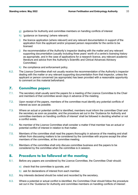- g) guidance for Authority and committee members on handling conflicts of interest
- h) 'quidance on licensing' (where relevant)
- i) the licence application (where relevant) and any relevant documentation in support of the application from the applicant and/or proposed person responsible for the centre to be licensed
- j) the recommendation of the Authority's inspector dealing with the matter and any relevant supporting documentation (usually including three years' worth of a centre's licensing history as appropriate, and in the case of applications for a research licence, any relevant academic literature and advice from the Authority's Scientific and Clinical Advances Advisory Committee)
- k) the compliance and enforcement policy.
- 6.2. The Licence Committee shall not usually receive the recommendation of the Authority's inspector dealing with the matter or any relevant supporting documentation from that inspector, unless the applicant or person concerned (as appropriate) has been provided with a reasonable opportunity to comment on this material beforehand.

# **7. Committee papers**

- 7.1. The secretary shall usually send the papers for a meeting of the Licence Committee to the Chair and members of that committee seven days in advance of the meeting.
- 7.2. Upon receipt of the papers, members of the committee must identify any potential conflicts of interest as soon as possible.
- 7.3. Where an actual or potential conflict is identified, members must inform the committee Chair and the secretary as soon as possible, and the procedure set out in the 'Guidance for Authority and committee members on handling conflicts of interest' shall be followed in deciding whether or not a conflict exists.
- 7.4. No member of the Licence Committee shall consider a matter if that member has an actual or potential conflict of interest in relation to that matter.
- 7.5. Members of the committee shall read the papers thoroughly in advance of the meeting and shall refrain from discussing matters to be considered by the committee with anyone except the other members of the committee, at the committee meeting.
- 7.6. Members of the committee shall only discuss committee business and the papers to be considered by the committee when the committee is in session.

# **8. Procedure to be followed at the meeting**

- 8.1. Before any papers are considered by the Licence Committee, the Committee Chair should:
	- a) check that the committee is quorate, and
	- b) ask for declarations of interest from each member.
- 8.2. Any interests declared should be noted and recorded by the secretary.
- 8.3. Where a potential or actual conflict is identified, the Committee Chair should follow the procedure set out in the 'Guidance for Authority and committee members on handling conflicts of interest'.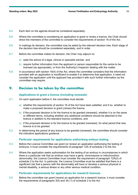- 8.4. Each item on the agenda should be considered separately.
- 8.5. Where the committee is considering an application to grant or renew a licence, the Chair should direct the members of the committee to consider the requirements of section 16 of the Act.
- 8.6. In makings its decision, the committee may be aided by the relevant decision tree. Each stage of the decision tree should be considered separately, and in order.
- 8.7. Before the committee makes its decision, the Chair may adjourn to:
	- a) seek the advice of a legal, clinical or specialist adviser, and
	- b) require further information from the applicant or person responsible for the centre to be licensed (as appropriate), or from the Authority's Inspector dealing with the matter.
- 8.8. In accordance with section 16(4) of the Act, where the committee considers that the information provided with an application is insufficient to enable it to determine that application, it need not consider the application until the applicant has provided it with such further information as the committee may require.

# **9. Decision to be taken by the committee**

#### **Applications to grant a licence (including renewals)**

- 9.1. On each application before it, the committee must decide:
	- a) whether the requirements of section 16 of the Act have been satisfied, and if so, whether to make a proposed decision to grant (renew) the licence
	- b) if the proposed decision is for the licence to be granted (renewed), whether it is on the same or different terms, including whether any additional conditions should be attached to the licence in addition to the standard licence conditions, and
	- c) if the proposed decision is for the licence to be granted (renewed), for what period that new licence is to be granted.
- 9.2. In determining the period of any licence to be granted (renewed), the committee should consider the indicative applications guidance.

#### **Particular requirements for applications authorising embryo testing**

- 9.3. Before the Licence Committee can grant (or renew) an application authorising the testing of embryos, it must consider the requirements of paragraph 1ZA of schedule 2 to the Act.
- 9.4. Where the application seeks authorisation for the testing of an embryo in circumstances in which there is a particular risk that an embryo may have a gene, chromosome or mitochondrion abnormality, the Licence Committee must consider the requirement of paragraph 1ZA(2) of schedule 2 to the Act. In particular, the Licence Committee must be satisfied that there is a significant risk that a person with the abnormality will have or develop a serious physical or mental disability, a serious illness or any other serious medical condition.

#### **Particular requirements for applications for research licences**

9.5. Before the committee can grant (renew) an application for a research licence, it must consider the requirements of paragraphs 3(5) and 3A (1) of schedule 2 to the Act.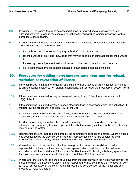- 9.6. In particular, the committee must be satisfied that any proposed use of embryos or human admixed embryos is (and in the case of applications for renewal) or remains necessary for the purposes of the research.
- 9.7. In addition, the committee must consider whether the activities to be authorised by the licence are or remain necessary or desirable:
	- a) for the listed purposes set out in paragraph 3A (2) or in regulations
	- b) for the purpose of providing knowledge that may be capable of being applied for the purpose of
	- c) increasing knowledge about serious disease or other serious medical conditions, or
	- d) developing treatments for serious disease or other serious medical conditions.

# **10. Procedure for adding non-standard conditions and for refusal, variation or revocation of licence**

- 10.1. If the committee is minded to refuse an application to grant, revoke or vary a licence, or minded to grant a licence subject to non-standard conditions, it must follow the procedure in section 19(1) of the Act.
- 10.2. If the committee is minded to vary or revoke a licence, it must follow the procedure in section 19(2) of the Act.
- 10.3. If the committee is minded to vary a licence otherwise than in accordance with the application, it must follow the procedure in section 19(3) of the Act.
- 10.4. In all cases where the committee has refused, varied or revoked a licence otherwise than on application, it must issue a notice under section 19A (4) and (5) of the Act.
- 10.5. In addition to issuing the notice, the committee must give the person to whom the notice is addressed, an opportunity to make representations before making its decision. Representations may be oral and written.
- 10.6. Representations shall not be considered by the committee that issues the notice. Where a notice has been issued by the Licence Committee, any representations shall be considered by a Licence Committee normally comprised of members who are not Authority members.
- 10.7. Where the person to whom the notice has been given indicates that he wishes to make representations, the committee hearing those representations shall consider the matter in accordance with the provisions of the Human Fertilisation and Embryology Authority (procedure for revocation, variation or refusal of a licence) regulations 2009 (as amended).
- 10.8. Where after the expiry of the period of 28 days from the date on which the notice was served, the person to whom the notice was given has not responded, or has confirmed that he does not wish to make representations, the committee shall resume its consideration of the matter and shall proceed to make its decision.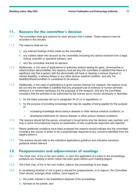# **11. Reasons for the committee's decision**

- 11.1. The committee shall give reasons for each decision that it makes. These reasons must be recorded in the minutes.
- 11.2. The reasons shall set out:
	- a) any relevant findings of fact made by the committee
	- b) any matters taken into account by the committee (including any advice received from a legal, clinical, scientific or specialist adviser), and
	- c) why the committee reached its decision.
- 11.3. Additionally, in the case of applications to authorise embryo testing for gene, chromosome or mitochondrion abnormalities, the reasons must set why the committee is satisfied that there is a significant risk that a person with the abnormality will have or develop a serious physical or mental disability, a serious illness or any other serious medical condition, and why the disability/illness/condition is considered to be serious.
- 11.4. Additionally, in the case of applications to grant (renew) licences for research, the reasons must set out why the committee is satisfied that any proposed use of embryos or human admixed embryos is or remains necessary for the purposes of the research, and why the committee considers that the activities to be authorised by the licence are or remain necessary or desirable:
	- a) for the listed purposes set out in paragraph 3A (2) or in regulations; or
	- b) for the purpose of providing knowledge that may be capable of being applied for the purpose of:
		- i. increasing knowledge about serious disease or other serious medical conditions, or
		- ii. developing treatments for serious disease or other serious medical conditions.
- 11.5. The reasons should tell the person concerned in broad terms why the decision was reached, and may in some circumstances require an explanation of why a particular argument was rejected.
- 11.6. Where additional conditions have been proposed the reasons should indicate why the committee considers this course of action to be a proportionate response to any concerns identified from the papers before it.
- 11.7. The reasons should refer to the indicative applications guidance and indicative sanctions guidance where relevant.

# **12. Postponements and adjournments of meetings**

- 12.1. The Chair may, of his or her own motion, or upon the application of a party to the proceedings, postpone any meeting of which notice has been given before such meeting begins.
- 12.2. The Chair may, of his or her own motion, adjourn the proceedings at any stage.
- 12.3. In considering whether or not to grant a request for postponement, or to adjourn, the Committee Chair should, amongst other matters, have regard to:
	- a) the public interest in the expeditious disposal of the proceedings
	- b) fairness to the parties, and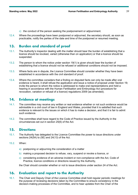- c) the conduct of the person seeking the postponement or adjournment.
- 12.4. Where the proceedings have been postponed or adjourned, the secretary should, as soon as practicable, notify the parties of the date and time of the postponed or resumed meeting.

# **13. Burden and standard of proof**

- 13.1. The Authority's inspector dealing with the matter should bear the burden of establishing that a licence should be revoked, varied (otherwise than on application) or that a licence should be suspended.
- 13.2. The person to whom the notice under section 19(1) is given should bear the burden of establishing that a licence should not be refused or additional conditions should not be imposed.
- 13.3. Where facts are in dispute, the Licence Committee should consider whether they have been established in accordance with the civil standard of proof.
- 13.4. Where the committee considers that a finding on disputed facts can only be made after oral evidence is heard, it shall refuse the application and issue a notice of proposal under Section 19; invite the person to whom the notice is addressed to make oral representations and hold a hearing in accordance with the Human Fertilisation and Embryology Act (procedure for revocation, variation or refusal of a licence) regulations 2009 (as amended).

#### **14. Evidence at meetings**

- 14.1. The committee may receive any written or real evidence whether or not such evidence would be admissible in a civil court of law in England and Wales, provided that it is satisfied that such evidence is relevant to the issues on which it has to make a decision, and that it is fair to admit such evidence.
- 14.2. The committee shall have regard to the Code of Practice issued by the Authority in the circumstances set out in section 25(6) of the Act.

# **15. Directions**

- 15.1. The Authority has delegated to the Licence Committee the power to issue directions under sections 24(5A) to (5E) and 24(13) of the Act.
- 15.2. When:
	- a) postponing or adjourning the consideration of a matter
	- b) making a proposed decision to refuse, vary, suspend or revoke a licence, or
	- c) considering evidence of an adverse incident or non-compliance with the Act, Code of Practice, licence conditions or directions issued by the Authority,

the Chair should consider whether or not to issue directions under section 24 of the Act.

# **16. Evaluation and report to the Authority**

16.1. The Chair and Deputy Chair of the Licence Committee shall hold regular periodic meetings for the purpose of reviewing decisions taken by the Committee to ensure consistency in the decision-making processes of the Committee, and to hear updates from the Chair of the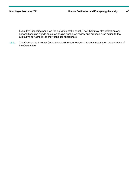Executive Licensing panel on the activities of the panel. The Chair may also reflect on any general licensing trends or issues arising from such review and propose such action to the Executive or Authority as they consider appropriate.

16.2. The Chair of the Licence Committee shall report to each Authority meeting on the activities of the Committee.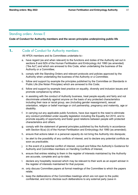#### Standing orders: Annex E

#### **Code of Conduct for Authority members and the seven principles underpinning public life**

# 1. Code of Conduct for Authority members

All HFEA members and its Committees undertake to:-

- a. have regard (as and when relevant) to the functions and duties of the Authority set out in sections 8 and 8ZA of the Human Fertilisation and Embryology Act 1990 (as amended) ("the Act") and which are annexed to this Code, when undertaking the business of the Authority or a Committee;
- b. comply with the Standing Orders and relevant protocols and policies approved by the Authority when undertaking the business of the Authority or a Committee;
- c. follow and support by example the principles published by the Committee on Standards in Public Life (the Nolan Principles) which are annexed to this Code;
- d. follow and support by example best practice on equality, diversity and inclusion issues and promote compliance by others.
- e. in assisting with the conduct of Authority business, treat people equally and fairly and not discriminate unlawfully against anyone on the basis of any protected characteristics including their race or racial group, sex (including gender reassignment), sexual orientation, religion or belief marriage or civil partnership, pregnancy and maternity, age or disability.
- f. in carrying out any applicable public functions, have due regard to the need to eliminate any conduct prohibited under equality legislation including the Equality Act 2010, and to promote equality of opportunity and foster good relations between people with protected characteristics and others.
- g. comply with the statement of general principles published by the Authority in accordance with Section 8(ca) (ii) of the Human Fertilisation and Embryology Act 1990 (as amended);
- h. ensure that actions taken in a personal capacity do not bring the Authority into disrepute;
- i. be alert to the possibility of any conflicts of interest, and to declare any potential conflicts as soon as practicable;
- j. in the event of a potential conflict of interest, consult and follow the Authority's Guidance for Authority and Committee members on Handling Conflicts of Interest;
- k. ensure that entries relating to them in the register of interests maintained by the Authority are accurate, complete and up-to-date;
- l. declare any hospitality received which may be relevant to their work as an expert adviser in the register of interests maintained for that purpose;
- m. only discuss Committee papers at formal meetings of the Committee to which the papers relate;
- n. keep the deliberations of the Committee meetings which are not open to the public confidential, and not to disclose such deliberations to any external party (save in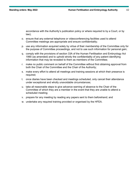accordance with the Authority's publication policy or where required to by a Court, or by law);

- o. ensure that any external telephone or videoconferencing facilities used to attend Committee meetings are appropriate and ensure confidentiality;
- p. use any information acquired solely by virtue of their membership of the Committee only for the purpose of Committee proceedings, and not to use such information for personal gain;
- q. comply with the provisions of section 33A of the Human Fertilisation and Embryology Act 1990 (as amended) and to uphold strictly the confidentiality of any patient identifying information that may be revealed to them as members of the Committee;
- r. make no public comment on behalf of the Committee without first obtaining approval from both the Chair of the Committee and the Chair of the Authority;
- s. make every effort to attend all meetings and training sessions at which their presence is required;
- t. once diaries have been checked and meetings scheduled, only cancel their attendance under exceptional and wholly unavoidable circumstances;
- u. take all reasonable steps to give advance warning of absence to the Chair of the Committee of which they are a member in the event that they are unable to attend a scheduled meeting;
- v. prepare for any meeting by reading any papers sent to them beforehand; and
- w. undertake any required training provided or organised by the HFEA.